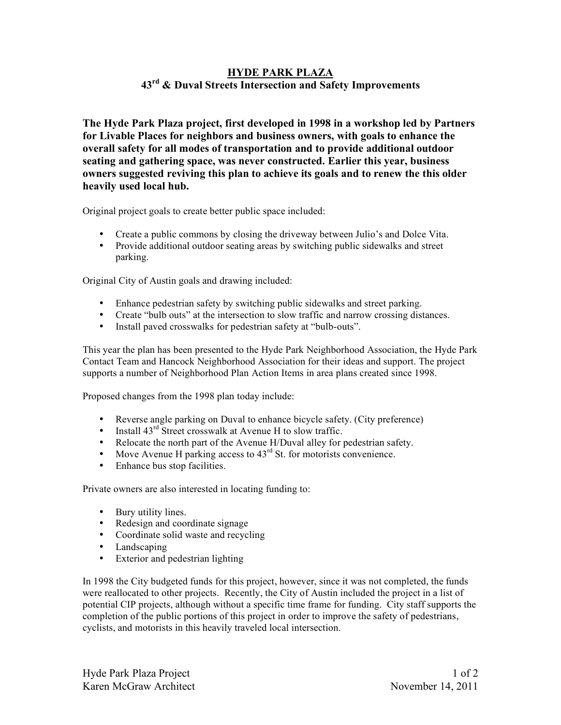# **HYDE PARK PLAZA 43rd & Duval Streets Intersection and Safety Improvements**

**The Hyde Park Plaza project, first developed in 1998 in a workshop led by Partners for Livable Places for neighbors and business owners, with goals to enhance the overall safety for all modes of transportation and to provide additional outdoor seating and gathering space, was never constructed. Earlier this year, business owners suggested reviving this plan to achieve its goals and to renew the this older heavily used local hub.** 

Original project goals to create better public space included:

- Create a public commons by closing the driveway between Julio's and Dolce Vita.
- Provide additional outdoor seating areas by switching public sidewalks and street parking.

Original City of Austin goals and drawing included:

- Enhance pedestrian safety by switching public sidewalks and street parking.
- Create "bulb outs" at the intersection to slow traffic and narrow crossing distances.
- Install paved crosswalks for pedestrian safety at "bulb-outs".

This year the plan has been presented to the Hyde Park Neighborhood Association, the Hyde Park Contact Team and Hancock Neighborhood Association for their ideas and support. The project supports a number of Neighborhood Plan Action Items in area plans created since 1998.

Proposed changes from the 1998 plan today include:

- Reverse angle parking on Duval to enhance bicycle safety. (City preference)
- Install  $43<sup>rd</sup>$  Street crosswalk at Avenue H to slow traffic.
- Relocate the north part of the Avenue H/Duval alley for pedestrian safety.
- Move Avenue H parking access to  $43<sup>rd</sup>$  St. for motorists convenience.
- Enhance bus stop facilities.

Private owners are also interested in locating funding to:

- Bury utility lines.
- Redesign and coordinate signage
- Coordinate solid waste and recycling
- Landscaping
- Exterior and pedestrian lighting

In 1998 the City budgeted funds for this project, however, since it was not completed, the funds were reallocated to other projects. Recently, the City of Austin included the project in a list of potential CIP projects, although without a specific time frame for funding. City staff supports the completion of the public portions of this project in order to improve the safety of pedestrians, cyclists, and motorists in this heavily traveled local intersection.